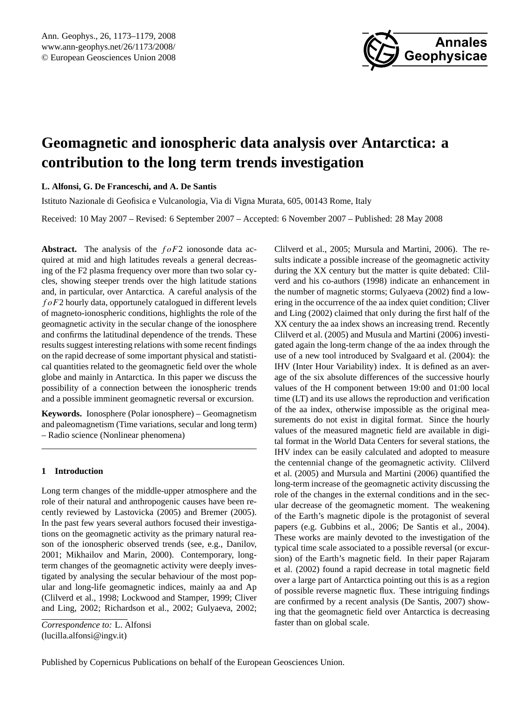

# <span id="page-0-0"></span>**Geomagnetic and ionospheric data analysis over Antarctica: a contribution to the long term trends investigation**

**L. Alfonsi, G. De Franceschi, and A. De Santis**

Istituto Nazionale di Geofisica e Vulcanologia, Via di Vigna Murata, 605, 00143 Rome, Italy

Received: 10 May 2007 – Revised: 6 September 2007 – Accepted: 6 November 2007 – Published: 28 May 2008

**Abstract.** The analysis of the  $f \circ F2$  ionosonde data acquired at mid and high latitudes reveals a general decreasing of the F2 plasma frequency over more than two solar cycles, showing steeper trends over the high latitude stations and, in particular, over Antarctica. A careful analysis of the  $f \circ F2$  hourly data, opportunely catalogued in different levels of magneto-ionospheric conditions, highlights the role of the geomagnetic activity in the secular change of the ionosphere and confirms the latitudinal dependence of the trends. These results suggest interesting relations with some recent findings on the rapid decrease of some important physical and statistical quantities related to the geomagnetic field over the whole globe and mainly in Antarctica. In this paper we discuss the possibility of a connection between the ionospheric trends and a possible imminent geomagnetic reversal or excursion.

**Keywords.** Ionosphere (Polar ionosphere) – Geomagnetism and paleomagnetism (Time variations, secular and long term) – Radio science (Nonlinear phenomena)

## **1 Introduction**

Long term changes of the middle-upper atmosphere and the role of their natural and anthropogenic causes have been recently reviewed by Lastovicka (2005) and Bremer (2005). In the past few years several authors focused their investigations on the geomagnetic activity as the primary natural reason of the ionospheric observed trends (see, e.g., Danilov, 2001; Mikhailov and Marin, 2000). Contemporary, longterm changes of the geomagnetic activity were deeply investigated by analysing the secular behaviour of the most popular and long-life geomagnetic indices, mainly aa and Ap (Clilverd et al., 1998; Lockwood and Stamper, 1999; Cliver and Ling, 2002; Richardson et al., 2002; Gulyaeva, 2002; Clilverd et al., 2005; Mursula and Martini, 2006). The results indicate a possible increase of the geomagnetic activity during the XX century but the matter is quite debated: Clilverd and his co-authors (1998) indicate an enhancement in the number of magnetic storms; Gulyaeva (2002) find a lowering in the occurrence of the aa index quiet condition; Cliver and Ling (2002) claimed that only during the first half of the XX century the aa index shows an increasing trend. Recently Clilverd et al. (2005) and Musula and Martini (2006) investigated again the long-term change of the aa index through the use of a new tool introduced by Svalgaard et al. (2004): the IHV (Inter Hour Variability) index. It is defined as an average of the six absolute differences of the successive hourly values of the H component between 19:00 and 01:00 local time (LT) and its use allows the reproduction and verification of the aa index, otherwise impossible as the original measurements do not exist in digital format. Since the hourly values of the measured magnetic field are available in digital format in the World Data Centers for several stations, the IHV index can be easily calculated and adopted to measure the centennial change of the geomagnetic activity. Clilverd et al. (2005) and Mursula and Martini (2006) quantified the long-term increase of the geomagnetic activity discussing the role of the changes in the external conditions and in the secular decrease of the geomagnetic moment. The weakening of the Earth's magnetic dipole is the protagonist of several papers (e.g. Gubbins et al., 2006; De Santis et al., 2004). These works are mainly devoted to the investigation of the typical time scale associated to a possible reversal (or excursion) of the Earth's magnetic field. In their paper Rajaram et al. (2002) found a rapid decrease in total magnetic field over a large part of Antarctica pointing out this is as a region of possible reverse magnetic flux. These intriguing findings are confirmed by a recent analysis (De Santis, 2007) showing that the geomagnetic field over Antarctica is decreasing faster than on global scale.

*Correspondence to:* L. Alfonsi (lucilla.alfonsi@ingv.it)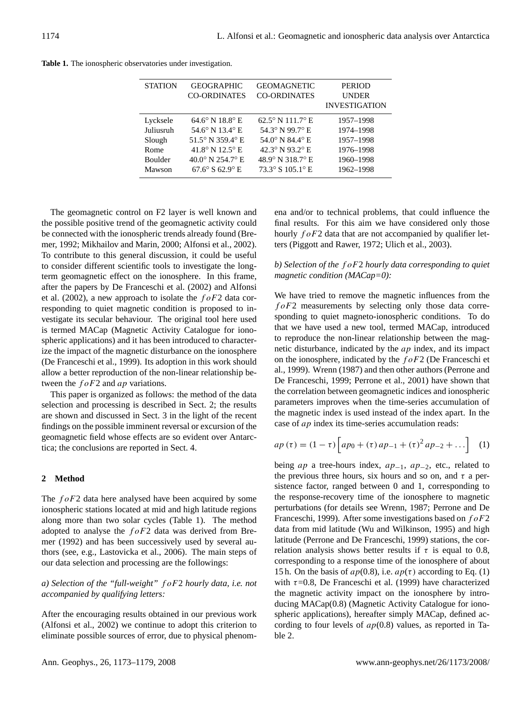| <b>STATION</b> | <b>GEOGRAPHIC</b>                  | <b>GEOMAGNETIC</b>                | <b>PERIOD</b>        |
|----------------|------------------------------------|-----------------------------------|----------------------|
|                | <b>CO-ORDINATES</b>                | <b>CO-ORDINATES</b>               | <b>UNDER</b>         |
|                |                                    |                                   | <b>INVESTIGATION</b> |
| Lycksele       | $64.6^{\circ}$ N $18.8^{\circ}$ E  | $62.5^{\circ}$ N 111.7° E         | 1957-1998            |
| Juliusruh      | 54.6 $\degree$ N 13.4 $\degree$ E  | 54.3° N 99.7° E                   | 1974-1998            |
| Slough         | 51.5° N 359.4° E                   | 54.0 $\degree$ N 84.4 $\degree$ E | 1957-1998            |
| Rome           | 41.8° N 12.5° E                    | 42.3° N 93.2° E                   | 1976-1998            |
| <b>Boulder</b> | $40.0^{\circ}$ N $254.7^{\circ}$ E | 48.9° N 318.7° E                  | 1960-1998            |
| Mawson         | $67.6^{\circ}$ S $62.9^{\circ}$ E  | 73.3° S 105.1° E                  | 1962-1998            |

**Table 1.** The ionospheric observatories under investigation.

The geomagnetic control on F2 layer is well known and the possible positive trend of the geomagnetic activity could be connected with the ionospheric trends already found (Bremer, 1992; Mikhailov and Marin, 2000; Alfonsi et al., 2002). To contribute to this general discussion, it could be useful to consider different scientific tools to investigate the longterm geomagnetic effect on the ionosphere. In this frame, after the papers by De Franceschi et al. (2002) and Alfonsi et al. (2002), a new approach to isolate the  $f \circ F2$  data corresponding to quiet magnetic condition is proposed to investigate its secular behaviour. The original tool here used is termed MACap (Magnetic Activity Catalogue for ionospheric applications) and it has been introduced to characterize the impact of the magnetic disturbance on the ionosphere (De Franceschi et al., 1999). Its adoption in this work should allow a better reproduction of the non-linear relationship between the  $f \circ F2$  and ap variations.

This paper is organized as follows: the method of the data selection and processing is described in Sect. 2; the results are shown and discussed in Sect. 3 in the light of the recent findings on the possible imminent reversal or excursion of the geomagnetic field whose effects are so evident over Antarctica; the conclusions are reported in Sect. 4.

## **2 Method**

The  $f \circ F2$  data here analysed have been acquired by some ionospheric stations located at mid and high latitude regions along more than two solar cycles (Table 1). The method adopted to analyse the  $f \circ F2$  data was derived from Bremer (1992) and has been successively used by several authors (see, e.g., Lastovicka et al., 2006). The main steps of our data selection and processing are the followings:

*a) Selection of the "full-weight"* f oF2 *hourly data, i.e. not accompanied by qualifying letters:*

After the encouraging results obtained in our previous work (Alfonsi et al., 2002) we continue to adopt this criterion to eliminate possible sources of error, due to physical phenomena and/or to technical problems, that could influence the final results. For this aim we have considered only those hourly  $f \circ F2$  data that are not accompanied by qualifier letters (Piggott and Rawer, 1972; Ulich et al., 2003).

# *b) Selection of the* f oF2 *hourly data corresponding to quiet magnetic condition (MACap=0):*

We have tried to remove the magnetic influences from the  $f \circ F2$  measurements by selecting only those data corresponding to quiet magneto-ionospheric conditions. To do that we have used a new tool, termed MACap, introduced to reproduce the non-linear relationship between the magnetic disturbance, indicated by the ap index, and its impact on the ionosphere, indicated by the  $f \circ F2$  (De Franceschi et al., 1999). Wrenn (1987) and then other authors (Perrone and De Franceschi, 1999; Perrone et al., 2001) have shown that the correlation between geomagnetic indices and ionospheric parameters improves when the time-series accumulation of the magnetic index is used instead of the index apart. In the case of ap index its time-series accumulation reads:

$$
ap(\tau) = (1 - \tau) \left[ ap_0 + (\tau) ap_{-1} + (\tau)^2 ap_{-2} + \dots \right] \tag{1}
$$

being *ap* a tree-hours index,  $ap_{-1}$ ,  $ap_{-2}$ , etc., related to the previous three hours, six hours and so on, and  $\tau$  a persistence factor, ranged between 0 and 1, corresponding to the response-recovery time of the ionosphere to magnetic perturbations (for details see Wrenn, 1987; Perrone and De Franceschi, 1999). After some investigations based on  $f \circ F2$ data from mid latitude (Wu and Wilkinson, 1995) and high latitude (Perrone and De Franceschi, 1999) stations, the correlation analysis shows better results if  $\tau$  is equal to 0.8, corresponding to a response time of the ionosphere of about 15 h. On the basis of  $ap(0.8)$ , i.e.  $ap(\tau)$  according to Eq. (1) with  $\tau$ =0.8, De Franceschi et al. (1999) have characterized the magnetic activity impact on the ionosphere by introducing MACap(0.8) (Magnetic Activity Catalogue for ionospheric applications), hereafter simply MACap, defined according to four levels of  $ap(0.8)$  values, as reported in Table 2.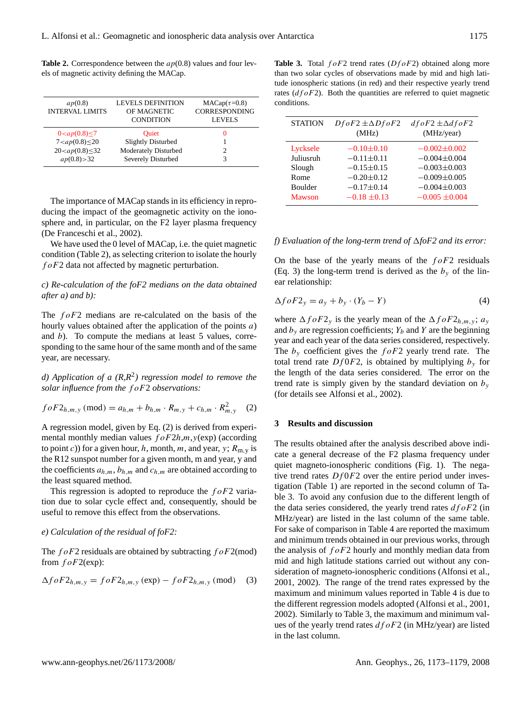**Table 2.** Correspondence between the  $ap(0.8)$  values and four levels of magnetic activity defining the MACap.

| ap(0.8)<br><b>INTERVAL LIMITS</b> | <b>LEVELS DEFINITION</b><br>OF MAGNETIC<br><b>CONDITION</b> | $MACap(\tau=0.8)$<br><b>CORRESPONDING</b><br><b>LEVELS</b> |
|-----------------------------------|-------------------------------------------------------------|------------------------------------------------------------|
| $0 < ap(0.8) \le 7$               | <b>Ouiet</b>                                                | $_{0}$                                                     |
| $7 < ap(0.8) \leq 20$             | <b>Slightly Disturbed</b>                                   |                                                            |
| $20 < ap(0.8) \le 32$             | Moderately Disturbed                                        |                                                            |
| ap(0.8) > 32                      | Severely Disturbed                                          | 3                                                          |

The importance of MACap stands in its efficiency in reproducing the impact of the geomagnetic activity on the ionosphere and, in particular, on the F2 layer plasma frequency (De Franceschi et al., 2002).

We have used the 0 level of MACap, *i.e.* the quiet magnetic condition (Table 2), as selecting criterion to isolate the hourly  $f \circ F2$  data not affected by magnetic perturbation.

## *c) Re-calculation of the foF2 medians on the data obtained after a) and b):*

The  $f \circ F2$  medians are re-calculated on the basis of the hourly values obtained after the application of the points  $a$ ) and b). To compute the medians at least 5 values, corresponding to the same hour of the same month and of the same year, are necessary.

d) Application of a  $(R,R^2)$  regression model to remove the *solar influence from the* f oF2 *observations:*

$$
foF2_{h,m,y} \text{ (mod)} = a_{h,m} + b_{h,m} \cdot R_{m,y} + c_{h,m} \cdot R_{m,y}^2 \quad (2)
$$

A regression model, given by Eq. (2) is derived from experimental monthly median values  $f \circ F2h$ ,*m*,  $y$ (exp) (according to point c)) for a given hour, h, month, m, and year, y;  $R_{m,y}$  is the R12 sunspot number for a given month, m and year, y and the coefficients  $a_{h,m}$ ,  $b_{h,m}$  and  $c_{h,m}$  are obtained according to the least squared method.

This regression is adopted to reproduce the  $f \circ F2$  variation due to solar cycle effect and, consequently, should be useful to remove this effect from the observations.

#### *e) Calculation of the residual of foF2:*

The  $foF2$  residuals are obtained by subtracting  $foF2$ (mod) from  $foF2(exp)$ :

$$
\Delta f \circ F2_{h,m,y} = f \circ F2_{h,m,y} \left(\exp\right) - f \circ F2_{h,m,y} \left(\text{mod}\right) \tag{3}
$$

**Table 3.** Total  $f \circ F2$  trend rates  $(Df \circ F2)$  obtained along more than two solar cycles of observations made by mid and high latitude ionospheric stations (in red) and their respective yearly trend rates  $(dfoF2)$ . Both the quantities are referred to quiet magnetic conditions.

| <b>STATION</b> | $DfoF2 \pm \Delta DfoF2$<br>(MHz) | $dfoF2 \pm \Delta dfoF2$<br>(MHz/year) |
|----------------|-----------------------------------|----------------------------------------|
| Lycksele       | $-0.10\pm0.10$                    | $-0.002 \pm 0.002$                     |
| Juliusruh      | $-0.11 \pm 0.11$                  | $-0.004 \pm 0.004$                     |
| Slough         | $-0.15 \pm 0.15$                  | $-0.003 \pm 0.003$                     |
| Rome           | $-0.20 \pm 0.12$                  | $-0.009\pm0.005$                       |
| <b>Boulder</b> | $-0.17\pm0.14$                    | $-0.004 \pm 0.003$                     |
| <b>Mawson</b>  | $-0.18 \pm 0.13$                  | $-0.005 \pm 0.004$                     |

#### *f)* Evaluation of the long-term trend of  $\Delta f$ oF2 and its error:

On the base of the yearly means of the  $f \circ F2$  residuals (Eq. 3) the long-term trend is derived as the  $b_y$  of the linear relationship:

$$
\Delta f \circ F2_y = a_y + b_y \cdot (Y_b - Y) \tag{4}
$$

where  $\Delta f \circ F2_v$  is the yearly mean of the  $\Delta f \circ F2_{h,m,v}$ ;  $a_v$ and  $b_y$  are regression coefficients;  $Y_b$  and Y are the beginning year and each year of the data series considered, respectively. The  $b_y$  coefficient gives the  $f \circ F2$  yearly trend rate. The total trend rate  $Df0F2$ , is obtained by multiplying  $b_y$  for the length of the data series considered. The error on the trend rate is simply given by the standard deviation on  $b_y$ (for details see Alfonsi et al., 2002).

## **3 Results and discussion**

The results obtained after the analysis described above indicate a general decrease of the F2 plasma frequency under quiet magneto-ionospheric conditions (Fig. 1). The negative trend rates  $Df0F2$  over the entire period under investigation (Table 1) are reported in the second column of Table 3. To avoid any confusion due to the different length of the data series considered, the yearly trend rates  $dfoF2$  (in MHz/year) are listed in the last column of the same table. For sake of comparison in Table 4 are reported the maximum and minimum trends obtained in our previous works, through the analysis of  $f \circ F2$  hourly and monthly median data from mid and high latitude stations carried out without any consideration of magneto-ionospheric conditions (Alfonsi et al., 2001, 2002). The range of the trend rates expressed by the maximum and minimum values reported in Table 4 is due to the different regression models adopted (Alfonsi et al., 2001, 2002). Similarly to Table 3, the maximum and minimum values of the yearly trend rates  $dfoF2$  (in MHz/year) are listed in the last column.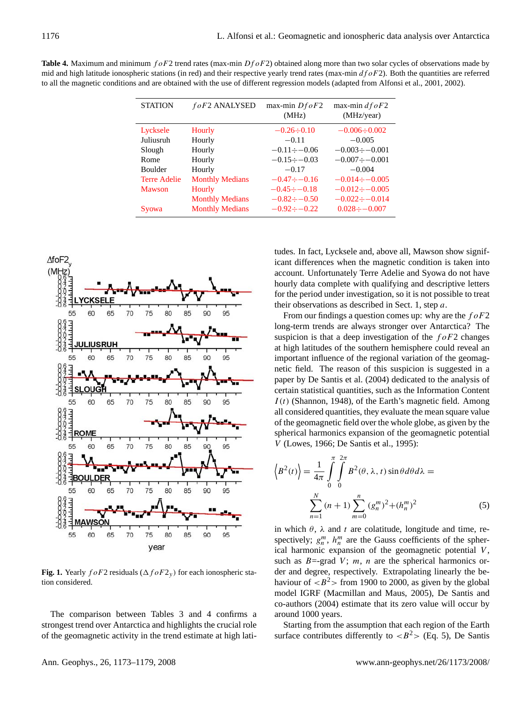| <b>Table 4.</b> Maximum and minimum $f \circ F2$ trend rates (max-min $Df \circ F2$ ) obtained along more than two solar cycles of observations made by |
|---------------------------------------------------------------------------------------------------------------------------------------------------------|
| mid and high latitude ionospheric stations (in red) and their respective yearly trend rates (max-min $d f \circ F2$ ). Both the quantities are referred |
| to all the magnetic conditions and are obtained with the use of different regression models (adapted from Alfonsi et al., 2001, 2002).                  |

| <b>STATION</b>      | foF2 ANALYSED          | max-min $Df \circ F2$<br>(MHz) | max-min $dfoF2$<br>(MHz/year) |
|---------------------|------------------------|--------------------------------|-------------------------------|
| Lycksele            | Hourly                 | $-0.26 \div 0.10$              | $-0.006 \div 0.002$           |
| Juliusruh           | Hourly                 | $-0.11$                        | $-0.005$                      |
| Slough              | Hourly                 | $-0.11 \div -0.06$             | $-0.003 \div -0.001$          |
| Rome                | Hourly                 | $-0.15 \div -0.03$             | $-0.007 \div -0.001$          |
| <b>Boulder</b>      | Hourly                 | $-0.17$                        | $-0.004$                      |
| <b>Terre Adelie</b> | <b>Monthly Medians</b> | $-0.47 \div -0.16$             | $-0.014 \div -0.005$          |
| <b>Mawson</b>       | Hourly                 | $-0.45 \div -0.18$             | $-0.012 \div -0.005$          |
|                     | <b>Monthly Medians</b> | $-0.82 \div -0.50$             | $-0.022 \div -0.014$          |
| Syowa               | <b>Monthly Medians</b> | $-0.92 \div -0.22$             | $0.028 \div -0.007$           |



**Fig. 1.** Yearly  $f \circ F2$  residuals ( $\Delta f \circ F2$ <sub>y</sub>) for each ionospheric station considered.

The comparison between Tables 3 and 4 confirms a strongest trend over Antarctica and highlights the crucial role of the geomagnetic activity in the trend estimate at high lati-

tudes. In fact, Lycksele and, above all, Mawson show significant differences when the magnetic condition is taken into account. Unfortunately Terre Adelie and Syowa do not have hourly data complete with qualifying and descriptive letters for the period under investigation, so it is not possible to treat their observations as described in Sect. 1, step a.

From our findings a question comes up: why are the  $f \circ F2$ long-term trends are always stronger over Antarctica? The suspicion is that a deep investigation of the  $f \circ F2$  changes at high latitudes of the southern hemisphere could reveal an important influence of the regional variation of the geomagnetic field. The reason of this suspicion is suggested in a paper by De Santis et al. (2004) dedicated to the analysis of certain statistical quantities, such as the Information Content  $I(t)$  (Shannon, 1948), of the Earth's magnetic field. Among all considered quantities, they evaluate the mean square value of the geomagnetic field over the whole globe, as given by the spherical harmonics expansion of the geomagnetic potential V (Lowes, 1966; De Santis et al., 1995):

$$
\langle B^2(t) \rangle = \frac{1}{4\pi} \int_{0}^{\pi} \int_{0}^{2\pi} B^2(\theta, \lambda, t) \sin \theta d\theta d\lambda =
$$
  

$$
\sum_{n=1}^{N} (n+1) \sum_{m=0}^{n} (g_n^m)^2 + (h_n^m)^2
$$
 (5)

in which  $\theta$ ,  $\lambda$  and t are colatitude, longitude and time, respectively;  $g_n^m$ ,  $h_n^m$  are the Gauss coefficients of the spherical harmonic expansion of the geomagnetic potential  $V$ , such as  $B = -\text{grad } V$ ; *m*, *n* are the spherical harmonics order and degree, respectively. Extrapolating linearly the behaviour of  $\langle B^2 \rangle$  from 1900 to 2000, as given by the global model IGRF (Macmillan and Maus, 2005), De Santis and co-authors (2004) estimate that its zero value will occur by around 1000 years.

Starting from the assumption that each region of the Earth surface contributes differently to  $\langle B^2 \rangle$  (Eq. 5), De Santis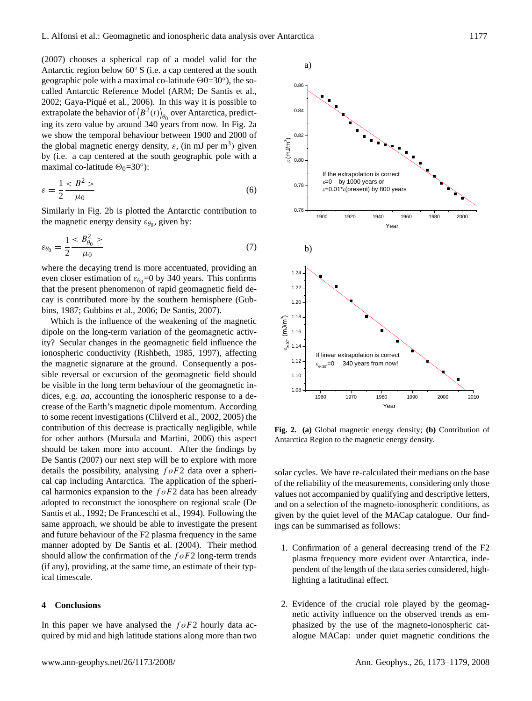(2007) chooses a spherical cap of a model valid for the Antarctic region below 60◦ S (i.e. a cap centered at the south geographic pole with a maximal co-latitude  $\Theta$ 0=30°), the socalled Antarctic Reference Model (ARM; De Santis et al., 2002; Gaya-Piqué et al., 2006). In this way it is possible to extrapolate the behavior of  $\langle B^2(t) \rangle_{\theta_0}$  over Antarctica, predicting its zero value by around 340 years from now. In Fig. 2a we show the temporal behaviour between 1900 and 2000 of the global magnetic energy density,  $\varepsilon$ , (in mJ per m<sup>3</sup>) given by (i.e. a cap centered at the south geographic pole with a maximal co-latitude  $\Theta_0$ =30°):

$$
\varepsilon = \frac{1}{2} \frac{B^2}{\mu_0} \tag{6}
$$

Similarly in Fig. 2b is plotted the Antarctic contribution to the magnetic energy density  $\varepsilon_{\theta_0}$ , given by:

$$
\varepsilon_{\theta_0} = \frac{1}{2} \frac{B_{\theta_0}^2 >}{\mu_0} \tag{7}
$$

where the decaying trend is more accentuated, providing an even closer estimation of  $\varepsilon_{\theta_0}=0$  by 340 years. This confirms that the present phenomenon of rapid geomagnetic field decay is contributed more by the southern hemisphere (Gubbins, 1987; Gubbins et al., 2006; De Santis, 2007).

Which is the influence of the weakening of the magnetic dipole on the long-term variation of the geomagnetic activity? Secular changes in the geomagnetic field influence the ionospheric conductivity (Rishbeth, 1985, 1997), affecting the magnetic signature at the ground. Consequently a possible reversal or excursion of the geomagnetic field should be visible in the long term behaviour of the geomagnetic indices, e.g. *aa,* accounting the ionospheric response to a decrease of the Earth's magnetic dipole momentum. According to some recent investigations (Clilverd et al., 2002, 2005) the contribution of this decrease is practically negligible, while for other authors (Mursula and Martini, 2006) this aspect should be taken more into account. After the findings by De Santis (2007) our next step will be to explore with more details the possibility, analysing  $f \circ F2$  data over a spherical cap including Antarctica. The application of the spherical harmonics expansion to the  $f \circ F2$  data has been already adopted to reconstruct the ionosphere on regional scale (De Santis et al., 1992; De Franceschi et al., 1994). Following the same approach, we should be able to investigate the present and future behaviour of the F2 plasma frequency in the same manner adopted by De Santis et al. (2004). Their method should allow the confirmation of the  $f \circ F2$  long-term trends (if any), providing, at the same time, an estimate of their typical timescale.

## **4 Conclusions**

In this paper we have analysed the  $f \circ F2$  hourly data acquired by mid and high latitude stations along more than two



**Fig. 2. (a)** Global magnetic energy density; **(b)** Contribution of Antarctica Region to the magnetic energy density.

solar cycles. We have re-calculated their medians on the base of the reliability of the measurements, considering only those values not accompanied by qualifying and descriptive letters, and on a selection of the magneto-ionospheric conditions, as given by the quiet level of the MACap catalogue. Our findings can be summarised as follows:

- 1. Confirmation of a general decreasing trend of the F2 plasma frequency more evident over Antarctica, independent of the length of the data series considered, highlighting a latitudinal effect.
- 2. Evidence of the crucial role played by the geomagnetic activity influence on the observed trends as emphasized by the use of the magneto-ionospheric catalogue MACap: under quiet magnetic conditions the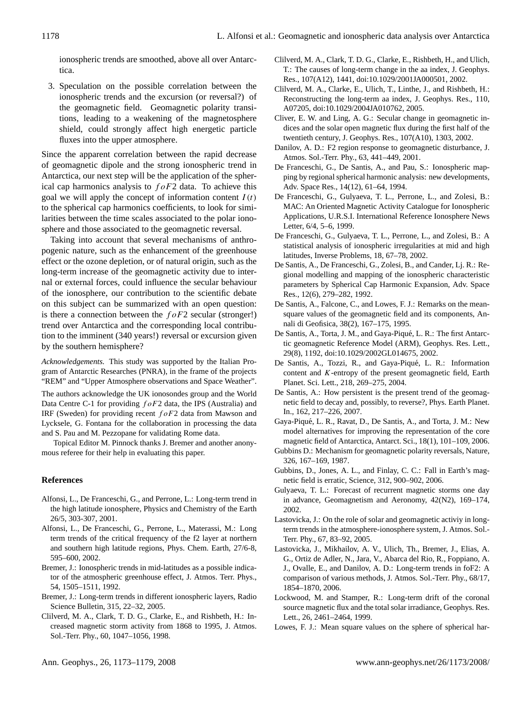ionospheric trends are smoothed, above all over Antarctica.

3. Speculation on the possible correlation between the ionospheric trends and the excursion (or reversal?) of the geomagnetic field. Geomagnetic polarity transitions, leading to a weakening of the magnetosphere shield, could strongly affect high energetic particle fluxes into the upper atmosphere.

Since the apparent correlation between the rapid decrease of geomagnetic dipole and the strong ionospheric trend in Antarctica, our next step will be the application of the spherical cap harmonics analysis to  $f \circ F2$  data. To achieve this goal we will apply the concept of information content  $I(t)$ to the spherical cap harmonics coefficients, to look for similarities between the time scales associated to the polar ionosphere and those associated to the geomagnetic reversal.

Taking into account that several mechanisms of anthropogenic nature, such as the enhancement of the greenhouse effect or the ozone depletion, or of natural origin, such as the long-term increase of the geomagnetic activity due to internal or external forces, could influence the secular behaviour of the ionosphere, our contribution to the scientific debate on this subject can be summarized with an open question: is there a connection between the  $f \circ F2$  secular (stronger!) trend over Antarctica and the corresponding local contribution to the imminent (340 years!) reversal or excursion given by the southern hemisphere?

*Acknowledgements.* This study was supported by the Italian Program of Antarctic Researches (PNRA), in the frame of the projects "REM" and "Upper Atmosphere observations and Space Weather".

The authors acknowledge the UK ionosondes group and the World Data Centre C-1 for providing  $f \circ F2$  data, the IPS (Australia) and IRF (Sweden) for providing recent  $f \circ F2$  data from Mawson and Lycksele, G. Fontana for the collaboration in processing the data and S. Pau and M. Pezzopane for validating Rome data.

Topical Editor M. Pinnock thanks J. Bremer and another anonymous referee for their help in evaluating this paper.

## **References**

- Alfonsi, L., De Franceschi, G., and Perrone, L.: Long-term trend in the high latitude ionosphere, Physics and Chemistry of the Earth 26/5, 303-307, 2001.
- Alfonsi, L., De Franceschi, G., Perrone, L., Materassi, M.: Long term trends of the critical frequency of the f2 layer at northern and southern high latitude regions, Phys. Chem. Earth, 27/6-8, 595–600, 2002.
- Bremer, J.: Ionospheric trends in mid-latitudes as a possible indicator of the atmospheric greenhouse effect, J. Atmos. Terr. Phys., 54, 1505–1511, 1992.
- Bremer, J.: Long-term trends in different ionospheric layers, Radio Science Bulletin, 315, 22–32, 2005.
- Clilverd, M. A., Clark, T. D. G., Clarke, E., and Rishbeth, H.: Increased magnetic storm activity from 1868 to 1995, J. Atmos. Sol.-Terr. Phy., 60, 1047–1056, 1998.
- Clilverd, M. A., Clark, T. D. G., Clarke, E., Rishbeth, H., and Ulich, T.: The causes of long-term change in the aa index, J. Geophys. Res., 107(A12), 1441, doi:10.1029/2001JA000501, 2002.
- Clilverd, M. A., Clarke, E., Ulich, T., Linthe, J., and Rishbeth, H.: Reconstructing the long-term aa index, J. Geophys. Res., 110, A07205, doi:10.1029/2004JA010762, 2005.
- Cliver, E. W. and Ling, A. G.: Secular change in geomagnetic indices and the solar open magnetic flux during the first half of the twentieth century, J. Geophys. Res., 107(A10), 1303, 2002.
- Danilov, A. D.: F2 region response to geomagnetic disturbance, J. Atmos. Sol.-Terr. Phy., 63, 441–449, 2001.
- De Franceschi, G., De Santis, A., and Pau, S.: Ionospheric mapping by regional spherical harmonic analysis: new developments, Adv. Space Res., 14(12), 61–64, 1994.
- De Franceschi, G., Gulyaeva, T. L., Perrone, L., and Zolesi, B.: MAC: An Oriented Magnetic Activity Catalogue for Ionospheric Applications, U.R.S.I. International Reference Ionosphere News Letter, 6/4, 5–6, 1999.
- De Franceschi, G., Gulyaeva, T. L., Perrone, L., and Zolesi, B.: A statistical analysis of ionospheric irregularities at mid and high latitudes, Inverse Problems, 18, 67–78, 2002.
- De Santis, A., De Franceschi, G., Zolesi, B., and Cander, Lj. R.: Regional modelling and mapping of the ionospheric characteristic parameters by Spherical Cap Harmonic Expansion, Adv. Space Res., 12(6), 279–282, 1992.
- De Santis, A., Falcone, C., and Lowes, F. J.: Remarks on the meansquare values of the geomagnetic field and its components, Annali di Geofisica, 38(2), 167–175, 1995.
- De Santis, A., Torta, J. M., and Gaya-Piqué, L. R.: The first Antarctic geomagnetic Reference Model (ARM), Geophys. Res. Lett., 29(8), 1192, doi:10.1029/2002GL014675, 2002.
- De Santis, A., Tozzi, R., and Gaya-Piqué, L. R.: Information content and K-entropy of the present geomagnetic field, Earth Planet. Sci. Lett., 218, 269–275, 2004.
- De Santis, A.: How persistent is the present trend of the geomagnetic field to decay and, possibly, to reverse?, Phys. Earth Planet. In., 162, 217–226, 2007.
- Gaya-Pique, L. R., Ravat, D., De Santis, A., and Torta, J. M.: New ´ model alternatives for improving the representation of the core magnetic field of Antarctica, Antarct. Sci., 18(1), 101-109, 2006.
- Gubbins D.: Mechanism for geomagnetic polarity reversals, Nature, 326, 167–169, 1987.
- Gubbins, D., Jones, A. L., and Finlay, C. C.: Fall in Earth's magnetic field is erratic, Science, 312, 900–902, 2006.
- Gulyaeva, T. L.: Forecast of recurrent magnetic storms one day in advance, Geomagnetism and Aeronomy, 42(N2), 169–174, 2002.
- Lastovicka, J.: On the role of solar and geomagnetic activiy in longterm trends in the atmosphere-ionosphere system, J. Atmos. Sol.- Terr. Phy., 67, 83–92, 2005.
- Lastovicka, J., Mikhailov, A. V., Ulich, Th., Bremer, J., Elias, A. G., Ortiz de Adler, N., Jara, V., Abarca del Rio, R., Foppiano, A. J., Ovalle, E., and Danilov, A. D.: Long-term trends in foF2: A comparison of various methods, J. Atmos. Sol.-Terr. Phy., 68/17, 1854–1870, 2006.
- Lockwood, M. and Stamper, R.: Long-term drift of the coronal source magnetic flux and the total solar irradiance, Geophys. Res. Lett., 26, 2461–2464, 1999.
- Lowes, F. J.: Mean square values on the sphere of spherical har-